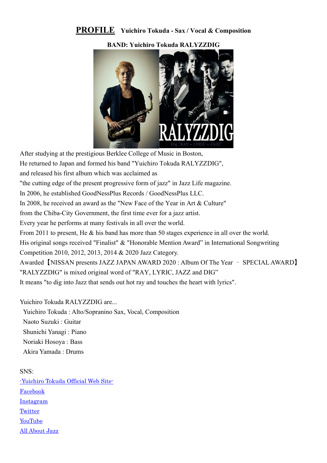### PROFILE Yuichiro Tokuda - Sax / Vocal & Composition

BAND: Yuichiro Tokuda RALYZZDIG



After studying at the prestigious Berklee College of Music in Boston, He returned to Japan and formed his band "Yuichiro Tokuda RALYZZDIG", and released his first album which was acclaimed as "the cutting edge of the present progressive form of jazz" in Jazz Life magazine. In 2006, he established GoodNessPlus Records / GoodNessPlus LLC. In 2008, he received an award as the "New Face of the Year in Art & Culture" from the Chiba-City Government, the first time ever for a jazz artist. Every year he performs at many festivals in all over the world. From 2011 to present, He & his band has more than 50 stages experience in all over the world. His original songs received "Finalist" & "Honorable Mention Award" in International Songwriting Competition 2010, 2012, 2013, 2014 & 2020 Jazz Category. Awarded【NISSAN presents JAZZ JAPAN AWARD 2020 : Album Of The Year – SPECIAL AWARD】 "RALYZZDIG" is mixed original word of "RAY, LYRIC, JAZZ and DIG" It means "to dig into Jazz that sends out hot ray and touches the heart with lyrics".

Yuichiro Tokuda RALYZZDIG are...

 Yuichiro Tokuda : Alto/Sopranino Sax, Vocal, Composition Naoto Suzuki : Guitar Shunichi Yanagi : Piano Noriaki Hosoya : Bass Akira Yamada : Drums

SNS: -Yuichiro Tokuda Official Web Site-Facebook Instagram **Twitter** YouTube All About Jazz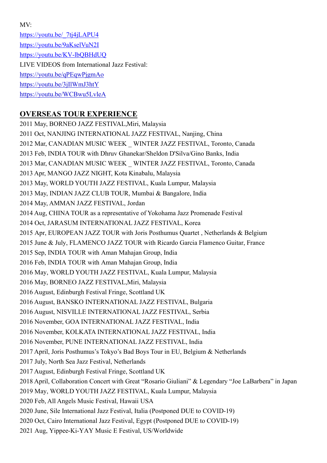MV:

https://youtu.be/\_7tj4jLAPU4 https://youtu.be/9aKselVuN2I https://youtu.be/KV-lbQBHdUQ LIVE VIDEOS from International Jazz Festival: https://youtu.be/qPEqwPjgmAo https://youtu.be/3jIlWmJ3htY https://youtu.be/WCBwu5LvleA

### OVERSEAS TOUR EXPERIENCE

2011 May, BORNEO JAZZ FESTIVAL,Miri, Malaysia 2011 Oct, NANJING INTERNATIONAL JAZZ FESTIVAL, Nanjing, China 2012 Mar, CANADIAN MUSIC WEEK \_ WINTER JAZZ FESTIVAL, Toronto, Canada 2013 Feb, INDIA TOUR with Dhruv Ghanekar/Sheldon D'Silva/Gino Banks, India 2013 Mar, CANADIAN MUSIC WEEK \_ WINTER JAZZ FESTIVAL, Toronto, Canada 2013 Apr, MANGO JAZZ NIGHT, Kota Kinabalu, Malaysia 2013 May, WORLD YOUTH JAZZ FESTIVAL, Kuala Lumpur, Malaysia 2013 May, INDIAN JAZZ CLUB TOUR, Mumbai & Bangalore, India 2014 May, AMMAN JAZZ FESTIVAL, Jordan 2014 Aug, CHINA TOUR as a representative of Yokohama Jazz Promenade Festival 2014 Oct, JARASUM INTERNATIONAL JAZZ FESTIVAL, Korea 2015 Apr, EUROPEAN JAZZ TOUR with Joris Posthumus Quartet , Netherlands & Belgium 2015 June & July, FLAMENCO JAZZ TOUR with Ricardo Garcia Flamenco Guitar, France 2015 Sep, INDIA TOUR with Aman Mahajan Group, India 2016 Feb, INDIA TOUR with Aman Mahajan Group, India 2016 May, WORLD YOUTH JAZZ FESTIVAL, Kuala Lumpur, Malaysia 2016 May, BORNEO JAZZ FESTIVAL,Miri, Malaysia 2016 August, Edinburgh Festival Fringe, Scottland UK 2016 August, BANSKO INTERNATIONAL JAZZ FESTIVAL, Bulgaria 2016 August, NISVILLE INTERNATIONAL JAZZ FESTIVAL, Serbia 2016 November, GOA INTERNATIONAL JAZZ FESTIVAL, India 2016 November, KOLKATA INTERNATIONAL JAZZ FESTIVAL, India 2016 November, PUNE INTERNATIONAL JAZZ FESTIVAL, India 2017 April, Joris Posthumus's Tokyo's Bad Boys Tour in EU, Belgium & Netherlands 2017 July, North Sea Jazz Festival, Netherlands 2017 August, Edinburgh Festival Fringe, Scottland UK 2018 April, Collaboration Concert with Great "Rosario Giuliani" & Legendary "Joe LaBarbera" in Japan 2019 May, WORLD YOUTH JAZZ FESTIVAL, Kuala Lumpur, Malaysia 2020 Feb, All Angels Music Festival, Hawaii USA 2020 June, Sile International Jazz Festival, Italia (Postponed DUE to COVID-19) 2020 Oct, Cairo International Jazz Festival, Egypt (Postponed DUE to COVID-19) 2021 Aug, Yippee-Ki-YAY Music E Festival, US/Worldwide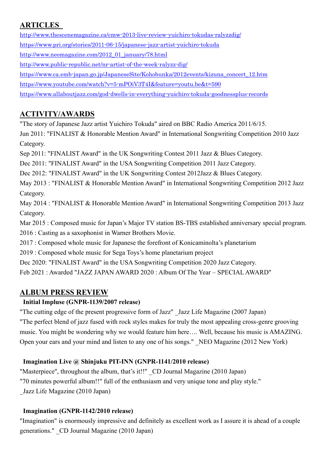# **ARTICLES**

http://www.thescenemagazine.ca/cmw-2013-live-review-yuichiro-tokudas-ralyzzdig/ https://www.pri.org/stories/2011-06-15/japanese-jazz-artist-yuichiro-tokuda http://www.neomagazine.com/2012\_01\_january/78.html http://www.public-republic.net/nr-artist-of-the-week-ralyzz-dig/ https://www.ca.emb-japan.go.jp/JapaneseSite/Kohobunka/2012events/kizuna\_concert\_12.htm https://www.youtube.com/watch?v=5-mPOiV3T4I&feature=youtu.be&t=590 https://www.allaboutjazz.com/god-dwells-in-everything-yuichiro-tokuda-goodnessplus-records

## ACTIVITY/AWARDS

"The story of Japanese Jazz artist Yuichiro Tokuda" aired on BBC Radio America 2011/6/15.

Jun 2011: "FINALIST & Honorable Mention Award" in International Songwriting Competition 2010 Jazz Category.

Sep 2011: "FINALIST Award" in the UK Songwriting Contest 2011 Jazz & Blues Category.

Dec 2011: "FINALIST Award" in the USA Songwriting Competition 2011 Jazz Category.

Dec 2012: "FINALIST Award" in the UK Songwriting Contest 2012Jazz & Blues Category.

May 2013 : "FINALIST & Honorable Mention Award" in International Songwriting Competition 2012 Jazz Category.

May 2014 : "FINALIST & Honorable Mention Award" in International Songwriting Competition 2013 Jazz Category.

Mar 2015 : Composed music for Japan's Major TV station BS-TBS established anniversary special program. 2016 : Casting as a saxophonist in Warner Brothers Movie.

2017 : Composed whole music for Japanese the forefront of Konicaminolta's planetarium

2019 : Composed whole music for Sega Toys's home planetarium project

Dec 2020: "FINALIST Award" in the USA Songwriting Competition 2020 Jazz Category.

Feb 2021 : Awarded "JAZZ JAPAN AWARD 2020 : Album Of The Year – SPECIAL AWARD"

# ALBUM PRESS REVIEW

### Initial Impluse (GNPR-1139/2007 release)

"The cutting edge of the present progressive form of Jazz" \_Jazz Life Magazine (2007 Japan) "The perfect blend of jazz fused with rock styles makes for truly the most appealing cross-genre grooving music. You might be wondering why we would feature him here…. Well, because his music is AMAZING. Open your ears and your mind and listen to any one of his songs." NEO Magazine (2012 New York)

### Imagination Live @ Shinjuku PIT-INN (GNPR-1141/2010 release)

"Masterpiece", throughout the album, that's it!!" CD Journal Magazine (2010 Japan) "70 minutes powerful album!!" full of the enthusiasm and very unique tone and play style." \_Jazz Life Magazine (2010 Japan)

### Imagination (GNPR-1142/2010 release)

"Imagination" is enormously impressive and definitely as excellent work as I assure it is ahead of a couple generations." \_CD Journal Magazine (2010 Japan)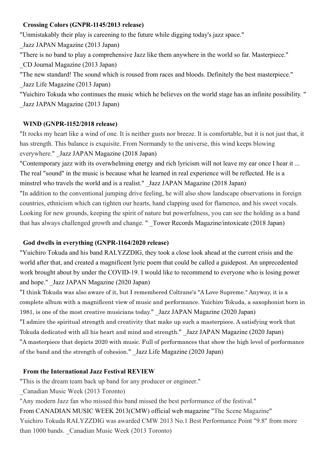#### Crossing Colors (GNPR-1145/2013 release)

"Unmistakably their play is careening to the future while digging today's jazz space."

\_Jazz JAPAN Magazine (2013 Japan)

"There is no band to play a comprehensive Jazz like them anywhere in the world so far. Masterpiece."

\_CD Journal Magazine (2013 Japan)

"The new standard! The sound which is roused from races and bloods. Definitely the best masterpiece." \_Jazz Life Magazine (2013 Japan)

"Yuichiro Tokuda who continues the music which he believes on the world stage has an infinite possibility. " \_Jazz JAPAN Magazine (2013 Japan)

#### WIND (GNPR-1152/2018 release)

"It rocks my heart like a wind of one. It is neither gusts nor breeze. It is comfortable, but it is not just that, it has strength. This balance is exquisite. From Normandy to the universe, this wind keeps blowing everywhere." \_Jazz JAPAN Magazine (2018 Japan)

"Contemporary jazz with its overwhelming energy and rich lyricism will not leave my ear once I hear it ... The real "sound" in the music is because what he learned in real experience will be reflected. He is a minstrel who travels the world and is a realist." Jazz JAPAN Magazine (2018 Japan)

"In addition to the conventional jumping drive feeling, he will also show landscape observations in foreign countries, ethnicism which can tighten our hearts, hand clapping used for flamenco, and his sweet vocals. Looking for new grounds, keeping the spirit of nature but powerfulness, you can see the holding as a band that has always challenged growth and change. " Tower Records Magazine/intoxicate (2018 Japan)

#### God dwells in everything (GNPR-1164/2020 release)

"Yuichiro Tokuda and his band RALYZZDIG, they took a close look ahead at the current crisis and the world after that, and created a magnificent lyric poem that could be called a guidepost. An unprecedented work brought about by under the COVID-19. I would like to recommend to everyone who is losing power and hope." \_Jazz JAPAN Magazine (2020 Japan)

"I think Tokuda was also aware of it, but I remembered Coltrane's "A Love Supreme." Anyway, it is a complete album with a magnificent view of music and performance. Yuichiro Tokuda, a saxophonist born in 1981, is one of the most creative musicians today." \_Jazz JAPAN Magazine (2020 Japan) "I admire the spiritual strength and creativity that make up such a masterpiece. A satisfying work that Tokuda dedicated with all his heart and mind and strength." Jazz JAPAN Magazine (2020 Japan) "A masterpiece that depicts 2020 with music. Full of performances that show the high level of performance of the band and the strength of cohesion." \_Jazz Life Magazine (2020 Japan)

#### From the International Jazz Festival REVIEW

"This is the dream team back up band for any producer or engineer."

\_Canadian Music Week (2013 Toronto)

"Any modern Jazz fan who missed this band missed the best performance of the festival."

From CANADIAN MUSIC WEEK 2013(CMW) official web magazine "The Scene Magazine" Yuichiro Tokuda RALYZZDIG was awarded CMW 2013 No.1 Best Performance Point "9.8" from more than 1000 bands. Canadian Music Week (2013 Toronto)